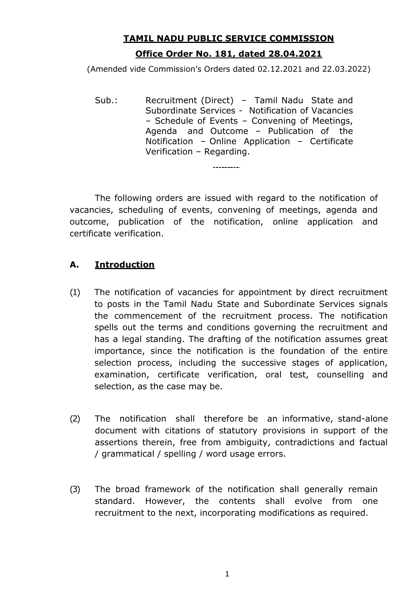# **TAMIL NADU PUBLIC SERVICE COMMISSION Office Order No. 181, dated 28.04.2021**

(Amended vide Commission's Orders dated 02.12.2021 and 22.03.2022)

Sub.: Recruitment (Direct) – Tamil Nadu State and Subordinate Services - Notification of Vacancies – Schedule of Events – Convening of Meetings, Agenda and Outcome – Publication of the Notification – Online Application – Certificate Verification – Regarding.

----------

The following orders are issued with regard to the notification of vacancies, scheduling of events, convening of meetings, agenda and outcome, publication of the notification, online application and certificate verification.

### **A. Introduction**

- (1) The notification of vacancies for appointment by direct recruitment to posts in the Tamil Nadu State and Subordinate Services signals the commencement of the recruitment process. The notification spells out the terms and conditions governing the recruitment and has a legal standing. The drafting of the notification assumes great importance, since the notification is the foundation of the entire selection process, including the successive stages of application, examination, certificate verification, oral test, counselling and selection, as the case may be.
- (2) The notification shall therefore be an informative, stand-alone document with citations of statutory provisions in support of the assertions therein, free from ambiguity, contradictions and factual / grammatical / spelling / word usage errors.
- (3) The broad framework of the notification shall generally remain standard. However, the contents shall evolve from one recruitment to the next, incorporating modifications as required.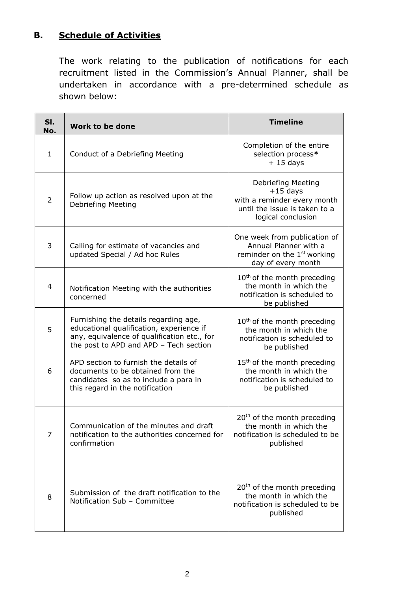# **B. Schedule of Activities**

The work relating to the publication of notifications for each recruitment listed in the Commission's Annual Planner, shall be undertaken in accordance with a pre-determined schedule as shown below:

| SI.<br>No.     | <b>Work to be done</b>                                                                                                                                                     | <b>Timeline</b>                                                                                                        |
|----------------|----------------------------------------------------------------------------------------------------------------------------------------------------------------------------|------------------------------------------------------------------------------------------------------------------------|
| $\mathbf{1}$   | Conduct of a Debriefing Meeting                                                                                                                                            | Completion of the entire<br>selection process*<br>$+15$ days                                                           |
| $\overline{2}$ | Follow up action as resolved upon at the<br>Debriefing Meeting                                                                                                             | Debriefing Meeting<br>$+15$ days<br>with a reminder every month<br>until the issue is taken to a<br>logical conclusion |
| 3              | Calling for estimate of vacancies and<br>updated Special / Ad hoc Rules                                                                                                    | One week from publication of<br>Annual Planner with a<br>reminder on the 1 <sup>st</sup> working<br>day of every month |
| 4              | Notification Meeting with the authorities<br>concerned                                                                                                                     | 10 <sup>th</sup> of the month preceding<br>the month in which the<br>notification is scheduled to<br>be published      |
| 5              | Furnishing the details regarding age,<br>educational qualification, experience if<br>any, equivalence of qualification etc., for<br>the post to APD and APD - Tech section | 10 <sup>th</sup> of the month preceding<br>the month in which the<br>notification is scheduled to<br>be published      |
| 6              | APD section to furnish the details of<br>documents to be obtained from the<br>candidates so as to include a para in<br>this regard in the notification                     | 15 <sup>th</sup> of the month preceding<br>the month in which the<br>notification is scheduled to<br>be published      |
| $\overline{7}$ | Communication of the minutes and draft<br>notification to the authorities concerned for<br>confirmation                                                                    | $20th$ of the month preceding<br>the month in which the<br>notification is scheduled to be<br>published                |
| 8              | Submission of the draft notification to the<br>Notification Sub - Committee                                                                                                | $20th$ of the month preceding<br>the month in which the<br>notification is scheduled to be<br>published                |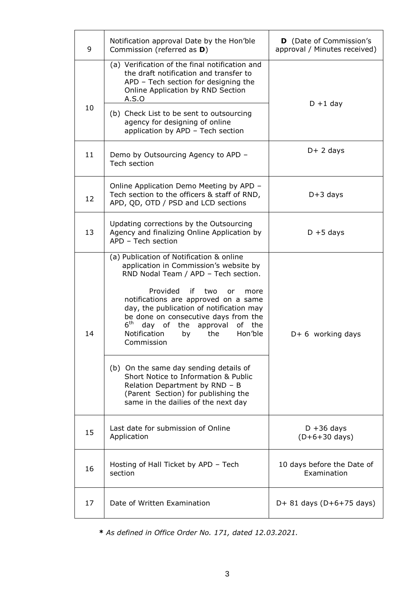| 9  | Notification approval Date by the Hon'ble<br>Commission (referred as D)                                                                                                                                                                                                                                                                                                                                 | <b>D</b> (Date of Commission's<br>approval / Minutes received) |  |
|----|---------------------------------------------------------------------------------------------------------------------------------------------------------------------------------------------------------------------------------------------------------------------------------------------------------------------------------------------------------------------------------------------------------|----------------------------------------------------------------|--|
|    | (a) Verification of the final notification and<br>the draft notification and transfer to<br>APD - Tech section for designing the<br>Online Application by RND Section<br>A.S.O                                                                                                                                                                                                                          | $D + 1$ day                                                    |  |
| 10 | (b) Check List to be sent to outsourcing<br>agency for designing of online<br>application by APD - Tech section                                                                                                                                                                                                                                                                                         |                                                                |  |
| 11 | Demo by Outsourcing Agency to APD -<br>Tech section                                                                                                                                                                                                                                                                                                                                                     | $D+2$ days                                                     |  |
| 12 | Online Application Demo Meeting by APD -<br>Tech section to the officers & staff of RND,<br>APD, QD, OTD / PSD and LCD sections                                                                                                                                                                                                                                                                         | $D+3$ days                                                     |  |
| 13 | Updating corrections by the Outsourcing<br>Agency and finalizing Online Application by<br>APD - Tech section                                                                                                                                                                                                                                                                                            | $D + 5$ days                                                   |  |
| 14 | (a) Publication of Notification & online<br>application in Commission's website by<br>RND Nodal Team / APD - Tech section.<br>Provided<br>if<br>two<br>or<br>more<br>notifications are approved on a same<br>day, the publication of notification may<br>be done on consecutive days from the<br>$6^{\text{th}}$<br>day of the approval<br>of the<br>Notification<br>Hon'ble<br>the<br>by<br>Commission | $D+6$ working days                                             |  |
|    | (b) On the same day sending details of<br>Short Notice to Information & Public<br>Relation Department by RND - B<br>(Parent Section) for publishing the<br>same in the dailies of the next day                                                                                                                                                                                                          |                                                                |  |
| 15 | Last date for submission of Online<br>Application                                                                                                                                                                                                                                                                                                                                                       | $D + 36$ days<br>$(D+6+30 \text{ days})$                       |  |
| 16 | Hosting of Hall Ticket by APD - Tech<br>section                                                                                                                                                                                                                                                                                                                                                         | 10 days before the Date of<br>Examination                      |  |
| 17 | Date of Written Examination                                                                                                                                                                                                                                                                                                                                                                             | $D+ 81$ days ( $D+6+75$ days)                                  |  |

**\*** *As defined in Office Order No. 171, dated 12.03.2021.*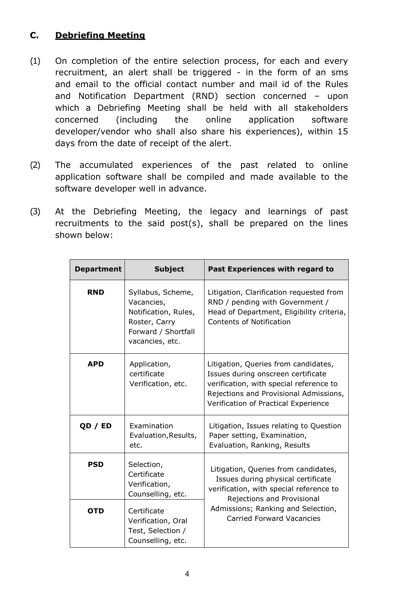# **C. Debriefing Meeting**

- (1) On completion of the entire selection process, for each and every recruitment, an alert shall be triggered - in the form of an sms and email to the official contact number and mail id of the Rules and Notification Department (RND) section concerned – upon which a Debriefing Meeting shall be held with all stakeholders concerned (including the online application software developer/vendor who shall also share his experiences), within 15 days from the date of receipt of the alert.
- (2) The accumulated experiences of the past related to online application software shall be compiled and made available to the software developer well in advance.
- (3) At the Debriefing Meeting, the legacy and learnings of past recruitments to the said post(s), shall be prepared on the lines shown below:

| <b>Department</b> | <b>Subject</b>                                                                                                     | Past Experiences with regard to                                                                                                                                                                                               |
|-------------------|--------------------------------------------------------------------------------------------------------------------|-------------------------------------------------------------------------------------------------------------------------------------------------------------------------------------------------------------------------------|
| <b>RND</b>        | Syllabus, Scheme,<br>Vacancies,<br>Notification, Rules,<br>Roster, Carry<br>Forward / Shortfall<br>vacancies, etc. | Litigation, Clarification requested from<br>RND / pending with Government /<br>Head of Department, Eligibility criteria,<br><b>Contents of Notification</b>                                                                   |
| <b>APD</b>        | Application,<br>certificate<br>Verification, etc.                                                                  | Litigation, Queries from candidates,<br>Issues during onscreen certificate<br>verification, with special reference to<br>Rejections and Provisional Admissions,<br>Verification of Practical Experience                       |
| QD / ED           | Examination<br>Evaluation, Results,<br>etc.                                                                        | Litigation, Issues relating to Question<br>Paper setting, Examination,<br>Evaluation, Ranking, Results                                                                                                                        |
| <b>PSD</b>        | Selection,<br>Certificate<br>Verification,<br>Counselling, etc.                                                    | Litigation, Queries from candidates,<br>Issues during physical certificate<br>verification, with special reference to<br>Rejections and Provisional<br>Admissions; Ranking and Selection,<br><b>Carried Forward Vacancies</b> |
| <b>OTD</b>        | Certificate<br>Verification, Oral<br>Test, Selection /<br>Counselling, etc.                                        |                                                                                                                                                                                                                               |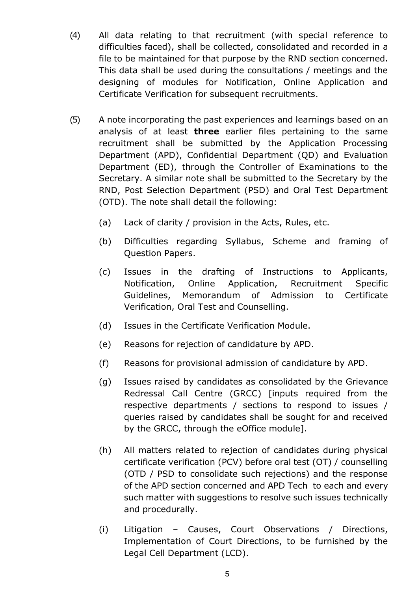- (4) All data relating to that recruitment (with special reference to difficulties faced), shall be collected, consolidated and recorded in a file to be maintained for that purpose by the RND section concerned. This data shall be used during the consultations / meetings and the designing of modules for Notification, Online Application and Certificate Verification for subsequent recruitments.
- (5) A note incorporating the past experiences and learnings based on an analysis of at least **three** earlier files pertaining to the same recruitment shall be submitted by the Application Processing Department (APD), Confidential Department (QD) and Evaluation Department (ED), through the Controller of Examinations to the Secretary. A similar note shall be submitted to the Secretary by the RND, Post Selection Department (PSD) and Oral Test Department (OTD). The note shall detail the following:
	- (a) Lack of clarity / provision in the Acts, Rules, etc.
	- (b) Difficulties regarding Syllabus, Scheme and framing of Question Papers.
	- (c) Issues in the drafting of Instructions to Applicants, Notification, Online Application, Recruitment Specific Guidelines, Memorandum of Admission to Certificate Verification, Oral Test and Counselling.
	- (d) Issues in the Certificate Verification Module.
	- (e) Reasons for rejection of candidature by APD.
	- (f) Reasons for provisional admission of candidature by APD.
	- (g) Issues raised by candidates as consolidated by the Grievance Redressal Call Centre (GRCC) [inputs required from the respective departments / sections to respond to issues / queries raised by candidates shall be sought for and received by the GRCC, through the eOffice module].
	- (h) All matters related to rejection of candidates during physical certificate verification (PCV) before oral test (OT) / counselling (OTD / PSD to consolidate such rejections) and the response of the APD section concerned and APD Tech to each and every such matter with suggestions to resolve such issues technically and procedurally.
	- (i) Litigation Causes, Court Observations / Directions, Implementation of Court Directions, to be furnished by the Legal Cell Department (LCD).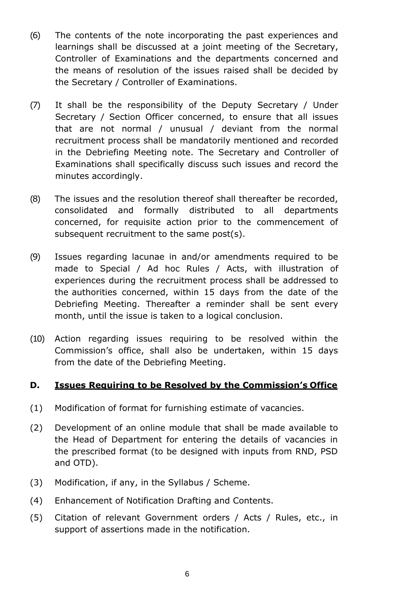- (6) The contents of the note incorporating the past experiences and learnings shall be discussed at a joint meeting of the Secretary, Controller of Examinations and the departments concerned and the means of resolution of the issues raised shall be decided by the Secretary / Controller of Examinations.
- (7) It shall be the responsibility of the Deputy Secretary / Under Secretary / Section Officer concerned, to ensure that all issues that are not normal / unusual / deviant from the normal recruitment process shall be mandatorily mentioned and recorded in the Debriefing Meeting note. The Secretary and Controller of Examinations shall specifically discuss such issues and record the minutes accordingly.
- (8) The issues and the resolution thereof shall thereafter be recorded, consolidated and formally distributed to all departments concerned, for requisite action prior to the commencement of subsequent recruitment to the same post(s).
- (9) Issues regarding lacunae in and/or amendments required to be made to Special / Ad hoc Rules / Acts, with illustration of experiences during the recruitment process shall be addressed to the authorities concerned, within 15 days from the date of the Debriefing Meeting. Thereafter a reminder shall be sent every month, until the issue is taken to a logical conclusion.
- (10) Action regarding issues requiring to be resolved within the Commission's office, shall also be undertaken, within 15 days from the date of the Debriefing Meeting.

### **D. Issues Requiring to be Resolved by the Commission's Office**

- (1) Modification of format for furnishing estimate of vacancies.
- (2) Development of an online module that shall be made available to the Head of Department for entering the details of vacancies in the prescribed format (to be designed with inputs from RND, PSD and OTD).
- (3) Modification, if any, in the Syllabus / Scheme.
- (4) Enhancement of Notification Drafting and Contents.
- (5) Citation of relevant Government orders / Acts / Rules, etc., in support of assertions made in the notification.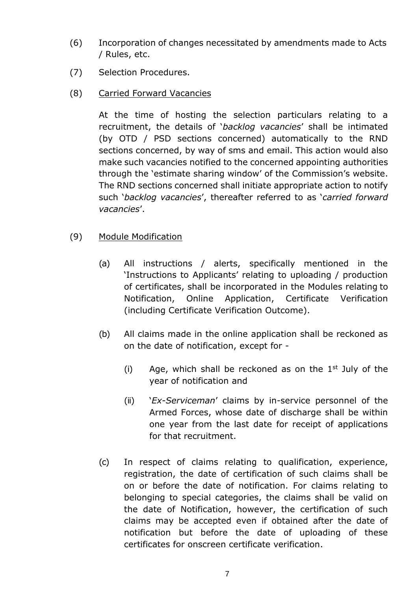- (6) Incorporation of changes necessitated by amendments made to Acts / Rules, etc.
- (7) Selection Procedures.
- (8) Carried Forward Vacancies

At the time of hosting the selection particulars relating to a recruitment, the details of '*backlog vacancies*' shall be intimated (by OTD / PSD sections concerned) automatically to the RND sections concerned, by way of sms and email. This action would also make such vacancies notified to the concerned appointing authorities through the 'estimate sharing window' of the Commission's website. The RND sections concerned shall initiate appropriate action to notify such '*backlog vacancies*', thereafter referred to as '*carried forward vacancies*'.

#### (9) Module Modification

- (a) All instructions / alerts, specifically mentioned in the 'Instructions to Applicants' relating to uploading / production of certificates, shall be incorporated in the Modules relating to Notification, Online Application, Certificate Verification (including Certificate Verification Outcome).
- (b) All claims made in the online application shall be reckoned as on the date of notification, except for -
	- (i) Age, which shall be reckoned as on the  $1<sup>st</sup>$  July of the year of notification and
	- (ii) '*Ex-Serviceman*' claims by in-service personnel of the Armed Forces, whose date of discharge shall be within one year from the last date for receipt of applications for that recruitment.
- (c) In respect of claims relating to qualification, experience, registration, the date of certification of such claims shall be on or before the date of notification. For claims relating to belonging to special categories, the claims shall be valid on the date of Notification, however, the certification of such claims may be accepted even if obtained after the date of notification but before the date of uploading of these certificates for onscreen certificate verification.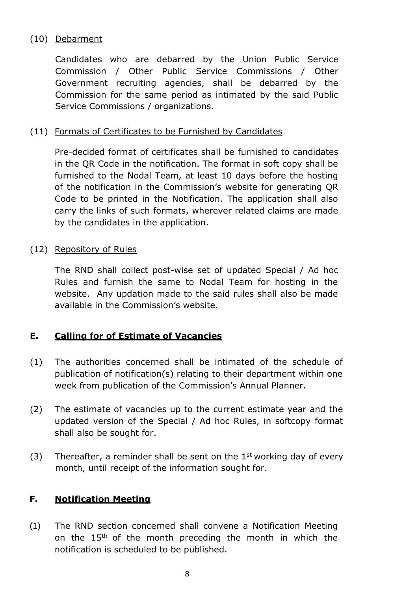### (10) Debarment

Candidates who are debarred by the Union Public Service Commission / Other Public Service Commissions / Other Government recruiting agencies, shall be debarred by the Commission for the same period as intimated by the said Public Service Commissions / organizations.

### (11) Formats of Certificates to be Furnished by Candidates

Pre-decided format of certificates shall be furnished to candidates in the QR Code in the notification. The format in soft copy shall be furnished to the Nodal Team, at least 10 days before the hosting of the notification in the Commission's website for generating QR Code to be printed in the Notification. The application shall also carry the links of such formats, wherever related claims are made by the candidates in the application.

#### (12) Repository of Rules

The RND shall collect post-wise set of updated Special / Ad hoc Rules and furnish the same to Nodal Team for hosting in the website. Any updation made to the said rules shall also be made available in the Commission's website.

# **E. Calling for of Estimate of Vacancies**

- (1) The authorities concerned shall be intimated of the schedule of publication of notification(s) relating to their department within one week from publication of the Commission's Annual Planner.
- (2) The estimate of vacancies up to the current estimate year and the updated version of the Special / Ad hoc Rules, in softcopy format shall also be sought for.
- (3) Thereafter, a reminder shall be sent on the  $1<sup>st</sup>$  working day of every month, until receipt of the information sought for.

### **F. Notification Meeting**

(1) The RND section concerned shall convene a Notification Meeting on the  $15<sup>th</sup>$  of the month preceding the month in which the notification is scheduled to be published.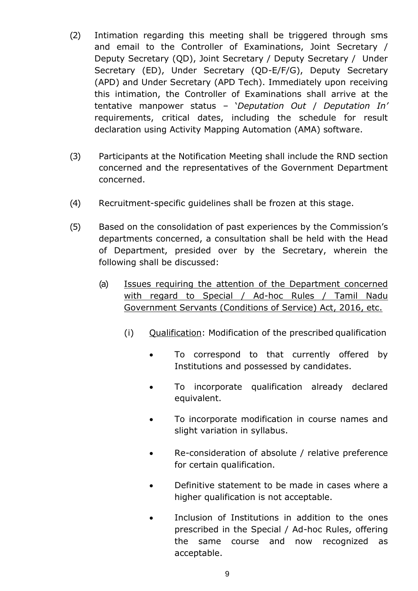- (2) Intimation regarding this meeting shall be triggered through sms and email to the Controller of Examinations, Joint Secretary / Deputy Secretary (QD), Joint Secretary / Deputy Secretary / Under Secretary (ED), Under Secretary (QD-E/F/G), Deputy Secretary (APD) and Under Secretary (APD Tech). Immediately upon receiving this intimation, the Controller of Examinations shall arrive at the tentative manpower status – '*Deputation Out* / *Deputation In'*  requirements, critical dates, including the schedule for result declaration using Activity Mapping Automation (AMA) software.
- (3) Participants at the Notification Meeting shall include the RND section concerned and the representatives of the Government Department concerned.
- (4) Recruitment-specific guidelines shall be frozen at this stage.
- (5) Based on the consolidation of past experiences by the Commission's departments concerned, a consultation shall be held with the Head of Department, presided over by the Secretary, wherein the following shall be discussed:
	- (a) Issues requiring the attention of the Department concerned with regard to Special / Ad-hoc Rules / Tamil Nadu Government Servants (Conditions of Service) Act, 2016, etc.
		- (i) Qualification: Modification of the prescribed qualification
			- To correspond to that currently offered by Institutions and possessed by candidates.
			- To incorporate qualification already declared equivalent.
			- To incorporate modification in course names and slight variation in syllabus.
			- Re-consideration of absolute / relative preference for certain qualification.
			- Definitive statement to be made in cases where a higher qualification is not acceptable.
			- Inclusion of Institutions in addition to the ones prescribed in the Special / Ad-hoc Rules, offering the same course and now recognized as acceptable.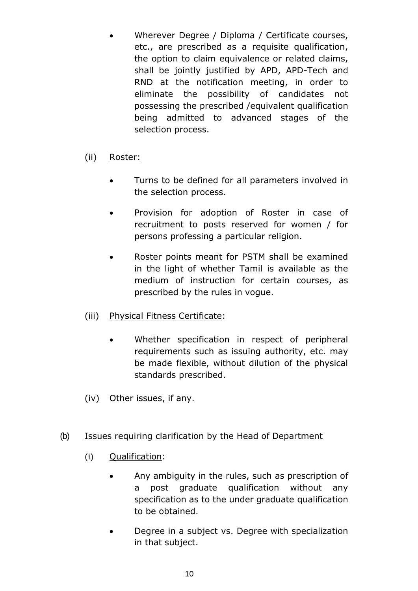- Wherever Degree / Diploma / Certificate courses, etc., are prescribed as a requisite qualification, the option to claim equivalence or related claims, shall be jointly justified by APD, APD-Tech and RND at the notification meeting, in order to eliminate the possibility of candidates not possessing the prescribed /equivalent qualification being admitted to advanced stages of the selection process.
- (ii) Roster:
	- Turns to be defined for all parameters involved in the selection process.
	- Provision for adoption of Roster in case of recruitment to posts reserved for women / for persons professing a particular religion.
	- Roster points meant for PSTM shall be examined in the light of whether Tamil is available as the medium of instruction for certain courses, as prescribed by the rules in vogue.
- (iii) Physical Fitness Certificate:
	- Whether specification in respect of peripheral requirements such as issuing authority, etc. may be made flexible, without dilution of the physical standards prescribed.
- (iv) Other issues, if any.

### (b) Issues requiring clarification by the Head of Department

- (i) Qualification:
	- Any ambiguity in the rules, such as prescription of a post graduate qualification without any specification as to the under graduate qualification to be obtained.
	- Degree in a subject vs. Degree with specialization in that subject.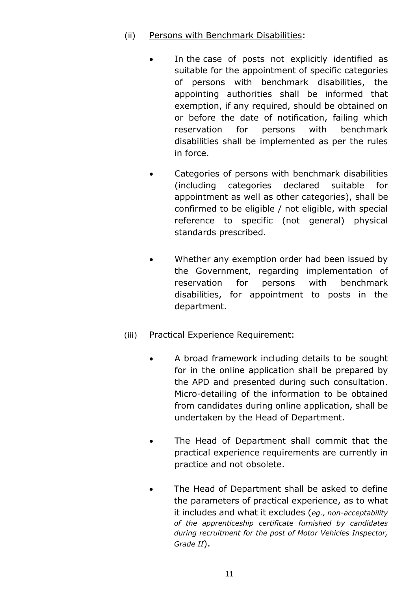- (ii) Persons with Benchmark Disabilities:
	- In the case of posts not explicitly identified as suitable for the appointment of specific categories of persons with benchmark disabilities, the appointing authorities shall be informed that exemption, if any required, should be obtained on or before the date of notification, failing which reservation for persons with benchmark disabilities shall be implemented as per the rules in force.
	- Categories of persons with benchmark disabilities (including categories declared suitable for appointment as well as other categories), shall be confirmed to be eligible / not eligible, with special reference to specific (not general) physical standards prescribed.
	- Whether any exemption order had been issued by the Government, regarding implementation of reservation for persons with benchmark disabilities, for appointment to posts in the department.

### (iii) Practical Experience Requirement:

- A broad framework including details to be sought for in the online application shall be prepared by the APD and presented during such consultation. Micro-detailing of the information to be obtained from candidates during online application, shall be undertaken by the Head of Department.
- The Head of Department shall commit that the practical experience requirements are currently in practice and not obsolete.
- The Head of Department shall be asked to define the parameters of practical experience, as to what it includes and what it excludes (*eg., non-acceptability of the apprenticeship certificate furnished by candidates during recruitment for the post of Motor Vehicles Inspector, Grade II*).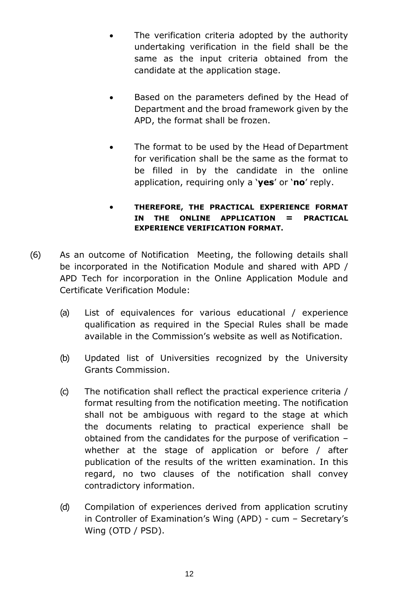- The verification criteria adopted by the authority undertaking verification in the field shall be the same as the input criteria obtained from the candidate at the application stage.
- Based on the parameters defined by the Head of Department and the broad framework given by the APD, the format shall be frozen.
- The format to be used by the Head of Department for verification shall be the same as the format to be filled in by the candidate in the online application, requiring only a '**yes**' or '**no**' reply.

#### **THEREFORE, THE PRACTICAL EXPERIENCE FORMAT IN THE ONLINE APPLICATION = PRACTICAL EXPERIENCE VERIFICATION FORMAT.**

- (6) As an outcome of Notification Meeting, the following details shall be incorporated in the Notification Module and shared with APD / APD Tech for incorporation in the Online Application Module and Certificate Verification Module:
	- (a) List of equivalences for various educational / experience qualification as required in the Special Rules shall be made available in the Commission's website as well as Notification.
	- (b) Updated list of Universities recognized by the University Grants Commission.
	- (c) The notification shall reflect the practical experience criteria / format resulting from the notification meeting. The notification shall not be ambiguous with regard to the stage at which the documents relating to practical experience shall be obtained from the candidates for the purpose of verification – whether at the stage of application or before / after publication of the results of the written examination. In this regard, no two clauses of the notification shall convey contradictory information.
	- (d) Compilation of experiences derived from application scrutiny in Controller of Examination's Wing (APD) - cum – Secretary's Wing (OTD / PSD).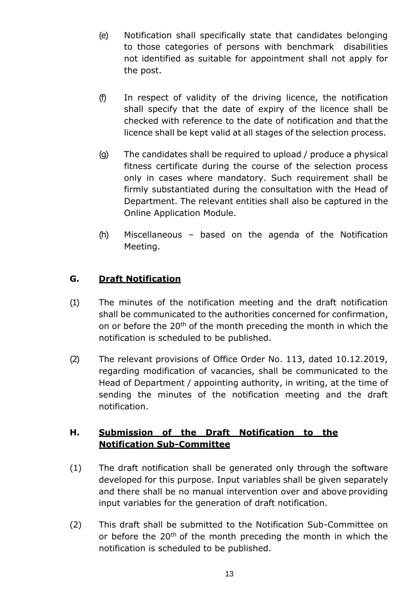- (e) Notification shall specifically state that candidates belonging to those categories of persons with benchmark disabilities not identified as suitable for appointment shall not apply for the post.
- (f) In respect of validity of the driving licence, the notification shall specify that the date of expiry of the licence shall be checked with reference to the date of notification and that the licence shall be kept valid at all stages of the selection process.
- (g) The candidates shall be required to upload / produce a physical fitness certificate during the course of the selection process only in cases where mandatory. Such requirement shall be firmly substantiated during the consultation with the Head of Department. The relevant entities shall also be captured in the Online Application Module.
- (h) Miscellaneous based on the agenda of the Notification Meeting.

# **G. Draft Notification**

- (1) The minutes of the notification meeting and the draft notification shall be communicated to the authorities concerned for confirmation, on or before the 20<sup>th</sup> of the month preceding the month in which the notification is scheduled to be published.
- (2) The relevant provisions of Office Order No. 113, dated 10.12.2019, regarding modification of vacancies, shall be communicated to the Head of Department / appointing authority, in writing, at the time of sending the minutes of the notification meeting and the draft notification.

# **H. Submission of the Draft Notification to the Notification Sub-Committee**

- (1) The draft notification shall be generated only through the software developed for this purpose. Input variables shall be given separately and there shall be no manual intervention over and above providing input variables for the generation of draft notification.
- (2) This draft shall be submitted to the Notification Sub-Committee on or before the 20<sup>th</sup> of the month preceding the month in which the notification is scheduled to be published.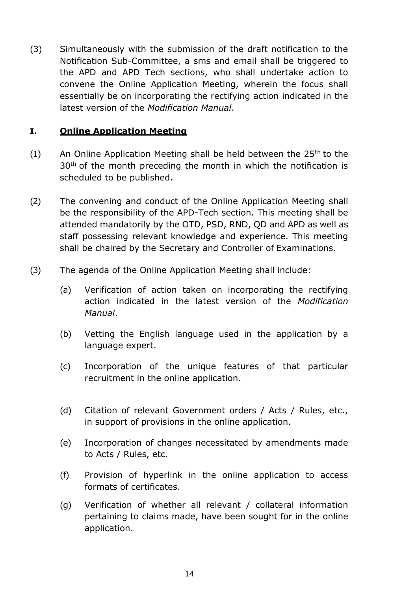(3) Simultaneously with the submission of the draft notification to the Notification Sub-Committee, a sms and email shall be triggered to the APD and APD Tech sections, who shall undertake action to convene the Online Application Meeting, wherein the focus shall essentially be on incorporating the rectifying action indicated in the latest version of the *Modification Manual*.

### **I. Online Application Meeting**

- (1) An Online Application Meeting shall be held between the  $25<sup>th</sup>$  to the  $30<sup>th</sup>$  of the month preceding the month in which the notification is scheduled to be published.
- (2) The convening and conduct of the Online Application Meeting shall be the responsibility of the APD-Tech section. This meeting shall be attended mandatorily by the OTD, PSD, RND, QD and APD as well as staff possessing relevant knowledge and experience. This meeting shall be chaired by the Secretary and Controller of Examinations.
- (3) The agenda of the Online Application Meeting shall include:
	- (a) Verification of action taken on incorporating the rectifying action indicated in the latest version of the *Modification Manual*.
	- (b) Vetting the English language used in the application by a language expert.
	- (c) Incorporation of the unique features of that particular recruitment in the online application.
	- (d) Citation of relevant Government orders / Acts / Rules, etc., in support of provisions in the online application.
	- (e) Incorporation of changes necessitated by amendments made to Acts / Rules, etc.
	- (f) Provision of hyperlink in the online application to access formats of certificates.
	- (g) Verification of whether all relevant / collateral information pertaining to claims made, have been sought for in the online application.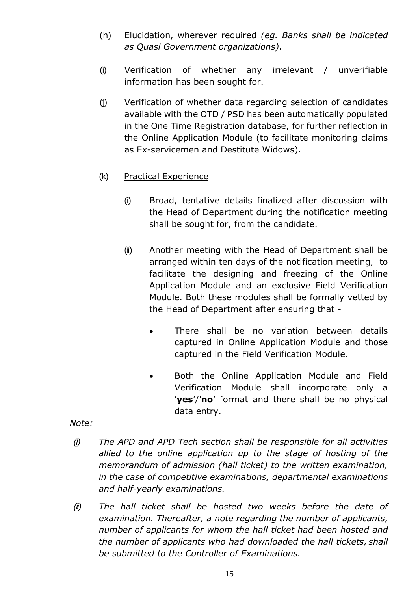- (h) Elucidation, wherever required *(eg. Banks shall be indicated as Quasi Government organizations)*.
- (i) Verification of whether any irrelevant / unverifiable information has been sought for.
- (j) Verification of whether data regarding selection of candidates available with the OTD / PSD has been automatically populated in the One Time Registration database, for further reflection in the Online Application Module (to facilitate monitoring claims as Ex-servicemen and Destitute Widows).
- (k) Practical Experience
	- (i) Broad, tentative details finalized after discussion with the Head of Department during the notification meeting shall be sought for, from the candidate.
	- (ii) Another meeting with the Head of Department shall be arranged within ten days of the notification meeting, to facilitate the designing and freezing of the Online Application Module and an exclusive Field Verification Module. Both these modules shall be formally vetted by the Head of Department after ensuring that -
		- There shall be no variation between details captured in Online Application Module and those captured in the Field Verification Module.
		- Both the Online Application Module and Field Verification Module shall incorporate only a '**yes**'/'**no**' format and there shall be no physical data entry.

*Note:*

- *(i) The APD and APD Tech section shall be responsible for all activities allied to the online application up to the stage of hosting of the memorandum of admission (hall ticket) to the written examination, in the case of competitive examinations, departmental examinations and half-yearly examinations.*
- *(ii) The hall ticket shall be hosted two weeks before the date of examination. Thereafter, a note regarding the number of applicants, number of applicants for whom the hall ticket had been hosted and the number of applicants who had downloaded the hall tickets, shall be submitted to the Controller of Examinations.*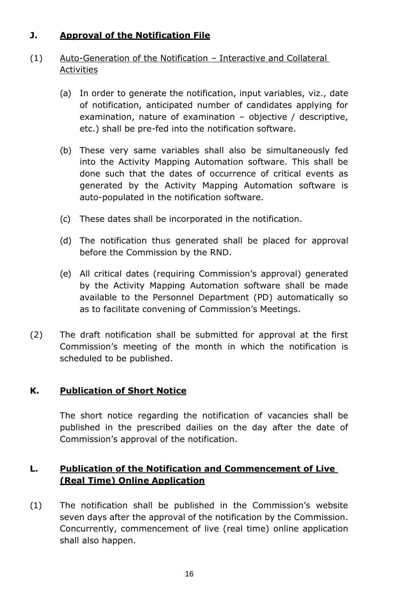# **J. Approval of the Notification File**

# (1) Auto-Generation of the Notification – Interactive and Collateral Activities

- (a) In order to generate the notification, input variables, viz., date of notification, anticipated number of candidates applying for examination, nature of examination – objective / descriptive, etc.) shall be pre-fed into the notification software.
- (b) These very same variables shall also be simultaneously fed into the Activity Mapping Automation software. This shall be done such that the dates of occurrence of critical events as generated by the Activity Mapping Automation software is auto-populated in the notification software.
- (c) These dates shall be incorporated in the notification.
- (d) The notification thus generated shall be placed for approval before the Commission by the RND.
- (e) All critical dates (requiring Commission's approval) generated by the Activity Mapping Automation software shall be made available to the Personnel Department (PD) automatically so as to facilitate convening of Commission's Meetings.
- (2) The draft notification shall be submitted for approval at the first Commission's meeting of the month in which the notification is scheduled to be published.

### **K. Publication of Short Notice**

The short notice regarding the notification of vacancies shall be published in the prescribed dailies on the day after the date of Commission's approval of the notification.

# **L. Publication of the Notification and Commencement of Live (Real Time) Online Application**

(1) The notification shall be published in the Commission's website seven days after the approval of the notification by the Commission. Concurrently, commencement of live (real time) online application shall also happen.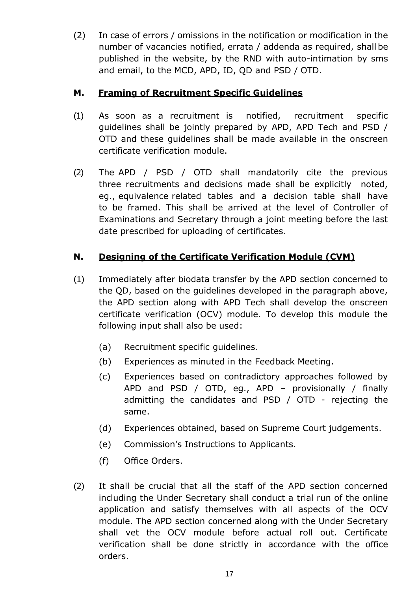(2) In case of errors / omissions in the notification or modification in the number of vacancies notified, errata / addenda as required, shall be published in the website, by the RND with auto-intimation by sms and email, to the MCD, APD, ID, QD and PSD / OTD.

# **M. Framing of Recruitment Specific Guidelines**

- (1) As soon as a recruitment is notified, recruitment specific guidelines shall be jointly prepared by APD, APD Tech and PSD / OTD and these guidelines shall be made available in the onscreen certificate verification module.
- (2) The APD / PSD / OTD shall mandatorily cite the previous three recruitments and decisions made shall be explicitly noted, eg., equivalence related tables and a decision table shall have to be framed. This shall be arrived at the level of Controller of Examinations and Secretary through a joint meeting before the last date prescribed for uploading of certificates.

# **N. Designing of the Certificate Verification Module (CVM)**

- (1) Immediately after biodata transfer by the APD section concerned to the QD, based on the guidelines developed in the paragraph above, the APD section along with APD Tech shall develop the onscreen certificate verification (OCV) module. To develop this module the following input shall also be used:
	- (a) Recruitment specific guidelines.
	- (b) Experiences as minuted in the Feedback Meeting.
	- (c) Experiences based on contradictory approaches followed by APD and PSD / OTD, eg., APD – provisionally / finally admitting the candidates and PSD / OTD - rejecting the same.
	- (d) Experiences obtained, based on Supreme Court judgements.
	- (e) Commission's Instructions to Applicants.
	- (f) Office Orders.
- (2) It shall be crucial that all the staff of the APD section concerned including the Under Secretary shall conduct a trial run of the online application and satisfy themselves with all aspects of the OCV module. The APD section concerned along with the Under Secretary shall vet the OCV module before actual roll out. Certificate verification shall be done strictly in accordance with the office orders.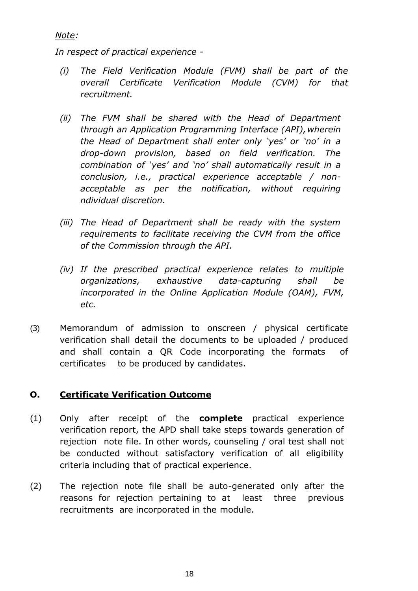*Note:*

*In respect of practical experience -*

- *(i) The Field Verification Module (FVM) shall be part of the overall Certificate Verification Module (CVM) for that recruitment.*
- *(ii) The FVM shall be shared with the Head of Department through an Application Programming Interface (API), wherein the Head of Department shall enter only 'yes' or 'no' in a drop-down provision, based on field verification. The combination of 'yes' and 'no' shall automatically result in a conclusion, i.e., practical experience acceptable / nonacceptable as per the notification, without requiring ndividual discretion.*
- *(iii) The Head of Department shall be ready with the system requirements to facilitate receiving the CVM from the office of the Commission through the API.*
- *(iv) If the prescribed practical experience relates to multiple organizations, exhaustive data-capturing shall be incorporated in the Online Application Module (OAM), FVM, etc.*
- (3) Memorandum of admission to onscreen / physical certificate verification shall detail the documents to be uploaded / produced and shall contain a QR Code incorporating the formats of certificates to be produced by candidates.

### **O. Certificate Verification Outcome**

- (1) Only after receipt of the **complete** practical experience verification report, the APD shall take steps towards generation of rejection note file. In other words, counseling / oral test shall not be conducted without satisfactory verification of all eligibility criteria including that of practical experience.
- (2) The rejection note file shall be auto-generated only after the reasons for rejection pertaining to at least three previous recruitments are incorporated in the module.